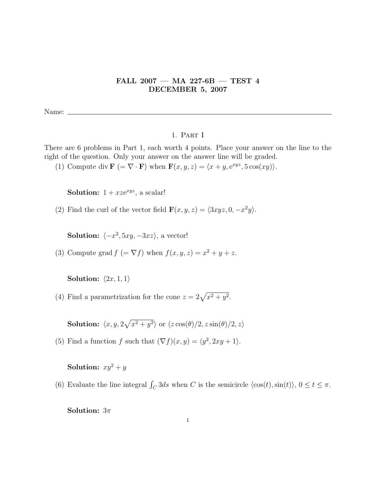# FALL 2007 — MA 227-6B — TEST 4 DECEMBER 5, 2007

Name:  $\equiv$ 

## 1. Part I

There are 6 problems in Part 1, each worth 4 points. Place your answer on the line to the right of the question. Only your answer on the answer line will be graded.

(1) Compute div  $\mathbf{F}$  (=  $\nabla \cdot \mathbf{F}$ ) when  $\mathbf{F}(x, y, z) = \langle x + y, e^{xyz}, 5 \cos(xy) \rangle$ .

**Solution:**  $1 + xze^{xyz}$ , a scalar!

(2) Find the curl of the vector field  $\mathbf{F}(x, y, z) = \langle 3xyz, 0, -x^2y \rangle$ .

Solution:  $\langle -x^2, 5xy, -3xz \rangle$ , a vector!

(3) Compute grad  $f (= \nabla f)$  when  $f(x, y, z) = x^2 + y + z$ .

Solution:  $\langle 2x, 1, 1 \rangle$ 

(4) Find a parametrization for the cone  $z = 2\sqrt{x^2 + y^2}$ .

**Solution:**  $\langle x, y, 2\sqrt{x^2 + y^2} \rangle$  or  $\langle z \cos(\theta)/2, z \sin(\theta)/2, z \rangle$ 

(5) Find a function f such that  $(\nabla f)(x, y) = \langle y^2, 2xy + 1 \rangle$ .

Solution:  $xy^2 + y$ 

(6) Evaluate the line integral  $\int_C 3ds$  when C is the semicircle  $\langle \cos(t), \sin(t) \rangle$ ,  $0 \le t \le \pi$ .

Solution:  $3\pi$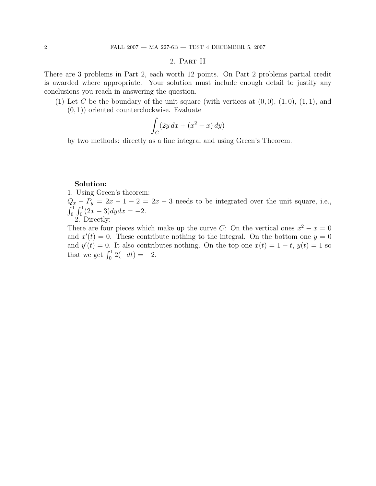### 2. Part II

There are 3 problems in Part 2, each worth 12 points. On Part 2 problems partial credit is awarded where appropriate. Your solution must include enough detail to justify any conclusions you reach in answering the question.

(1) Let C be the boundary of the unit square (with vertices at  $(0,0)$ ,  $(1,0)$ ,  $(1,1)$ , and (0, 1)) oriented counterclockwise. Evaluate

$$
\int_C (2y\,dx + (x^2 - x)\,dy)
$$

by two methods: directly as a line integral and using Green's Theorem.

#### Solution:

1. Using Green's theorem:  $Q_x - P_y = 2x - 1 - 2 = 2x - 3$  needs to be integrated over the unit square, i.e.,  $\int_0^1 \int_0^1 (2x - 3) dy dx = -2.$ 2. Directly:

There are four pieces which make up the curve C: On the vertical ones  $x^2 - x = 0$ and  $x'(t) = 0$ . These contribute nothing to the integral. On the bottom one  $y = 0$ and  $y'(t) = 0$ . It also contributes nothing. On the top one  $x(t) = 1 - t$ ,  $y(t) = 1$  so that we get  $\int_0^1 2(-dt) = -2$ .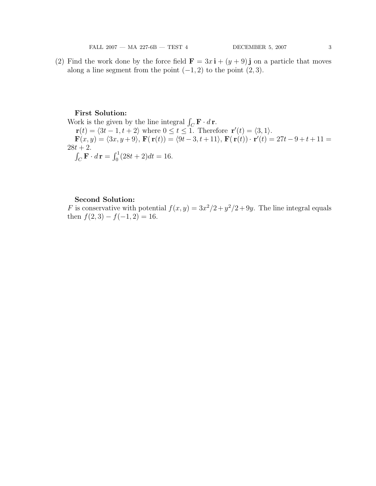FALL 2007 — MA 227-6B — TEST 4 DECEMBER 5, 2007 3

(2) Find the work done by the force field  $\mathbf{F} = 3x \mathbf{i} + (y+9) \mathbf{j}$  on a particle that moves along a line segment from the point  $(-1, 2)$  to the point  $(2, 3)$ .

#### First Solution:

Work is the given by the line integral  $\int_C \mathbf{F} \cdot d\mathbf{r}$ .

 $\mathbf{r}(t) = \langle 3t - 1, t + 2 \rangle$  where  $0 \le t \le 1$ . Therefore  $\mathbf{r}'(t) = \langle 3, 1 \rangle$ .  $\mathbf{F}(x, y) = \langle 3x, y + 9 \rangle, \, \mathbf{F}(\mathbf{r}(t)) = \langle 9t - 3, t + 11 \rangle, \, \mathbf{F}(\mathbf{r}(t)) \cdot \mathbf{r}'(t) = 27t - 9 + t + 11 = 0$  $28t + 2$ .  $\int_C \mathbf{F} \cdot d\mathbf{r} = \int_0^1 (28t + 2) dt = 16.$ 

#### Second Solution:

F is conservative with potential  $f(x, y) = 3x^2/2 + y^2/2 + 9y$ . The line integral equals then  $f(2, 3) - f(-1, 2) = 16$ .